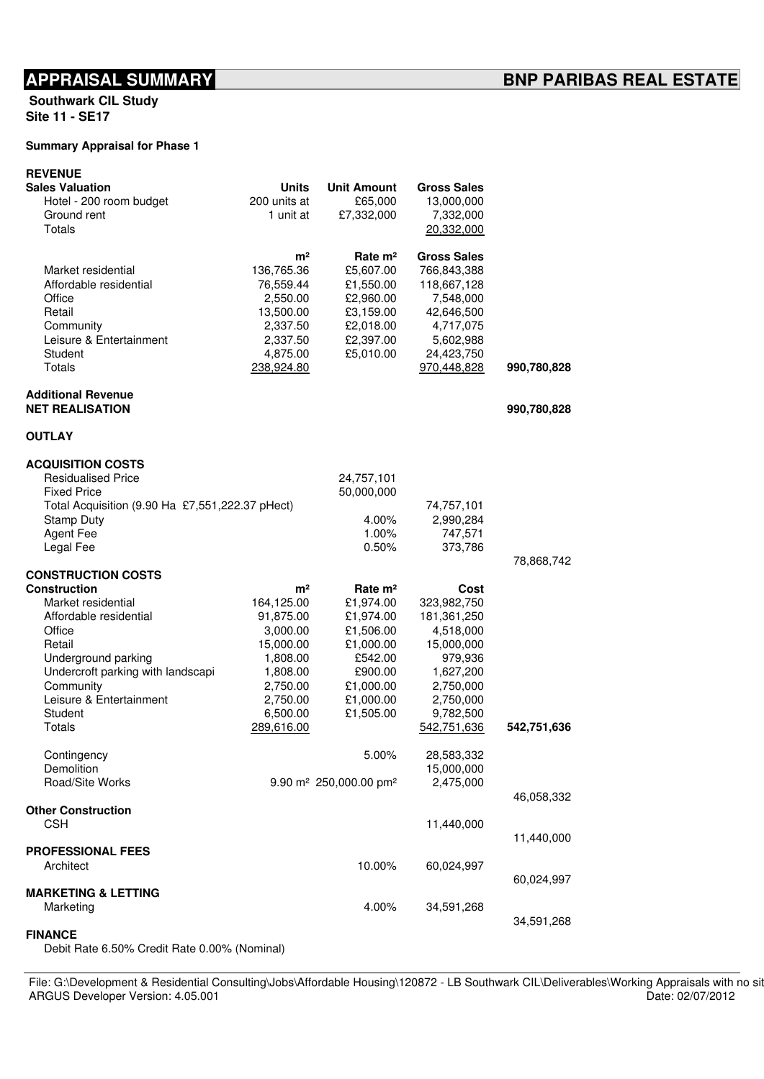Southwark CIL Study Site 11 - SE17

## Summary Appraisal for Phase 1

| <b>REVENUE</b>                                  |                |                                                |                    |             |
|-------------------------------------------------|----------------|------------------------------------------------|--------------------|-------------|
| <b>Sales Valuation</b>                          | Units          | <b>Unit Amount</b>                             | <b>Gross Sales</b> |             |
| Hotel - 200 room budget                         | 200 units at   | £65,000                                        | 13,000,000         |             |
| Ground rent                                     | 1 unit at      | £7,332,000                                     | 7,332,000          |             |
| Totals                                          |                |                                                | 20,332,000         |             |
|                                                 | m <sup>2</sup> | Rate $m2$                                      | <b>Gross Sales</b> |             |
| Market residential                              | 136,765.36     | £5,607.00                                      | 766,843,388        |             |
| Affordable residential                          | 76,559.44      | £1,550.00                                      | 118,667,128        |             |
| Office                                          | 2,550.00       | £2,960.00                                      | 7,548,000          |             |
| Retail                                          | 13,500.00      | £3,159.00                                      | 42,646,500         |             |
| Community                                       | 2,337.50       | £2,018.00                                      | 4,717,075          |             |
| Leisure & Entertainment                         | 2,337.50       | £2,397.00                                      | 5,602,988          |             |
| Student                                         | 4,875.00       | £5,010.00                                      | 24,423,750         |             |
| Totals                                          | 238,924.80     |                                                | 970,448,828        | 990,780,828 |
| <b>Additional Revenue</b>                       |                |                                                |                    |             |
| <b>NET REALISATION</b>                          |                |                                                |                    | 990,780,828 |
| <b>OUTLAY</b>                                   |                |                                                |                    |             |
| <b>ACQUISITION COSTS</b>                        |                |                                                |                    |             |
| <b>Residualised Price</b>                       |                | 24,757,101                                     |                    |             |
| <b>Fixed Price</b>                              |                | 50,000,000                                     |                    |             |
| Total Acquisition (9.90 Ha £7,551,222.37 pHect) |                |                                                | 74,757,101         |             |
| <b>Stamp Duty</b>                               |                | 4.00%                                          | 2,990,284          |             |
| <b>Agent Fee</b>                                |                | 1.00%                                          | 747,571            |             |
| Legal Fee                                       |                | 0.50%                                          | 373,786            |             |
| <b>CONSTRUCTION COSTS</b>                       |                |                                                |                    | 78,868,742  |
| <b>Construction</b>                             | m <sup>2</sup> | Rate m <sup>2</sup>                            | Cost               |             |
| Market residential                              | 164,125.00     | £1,974.00                                      | 323,982,750        |             |
| Affordable residential                          | 91,875.00      | £1,974.00                                      | 181, 361, 250      |             |
| Office                                          | 3,000.00       | £1,506.00                                      | 4,518,000          |             |
| Retail                                          | 15,000.00      | £1,000.00                                      | 15,000,000         |             |
| Underground parking                             | 1,808.00       | £542.00                                        | 979,936            |             |
| Undercroft parking with landscapi               | 1,808.00       | £900.00                                        | 1,627,200          |             |
| Community                                       | 2,750.00       | £1,000.00                                      | 2,750,000          |             |
| Leisure & Entertainment                         | 2,750.00       | £1,000.00                                      | 2,750,000          |             |
| Student                                         | 6,500.00       | £1,505.00                                      | 9,782,500          |             |
| Totals                                          | 289,616.00     |                                                | 542,751,636        | 542,751,636 |
| Contingency                                     |                | 5.00%                                          | 28,583,332         |             |
| Demolition                                      |                |                                                | 15,000,000         |             |
| Road/Site Works                                 |                | 9.90 m <sup>2</sup> 250,000.00 pm <sup>2</sup> | 2,475,000          |             |
| <b>Other Construction</b>                       |                |                                                |                    | 46,058,332  |
| CSH                                             |                |                                                | 11,440,000         |             |
|                                                 |                |                                                |                    | 11,440,000  |
| <b>PROFESSIONAL FEES</b>                        |                |                                                |                    |             |
| Architect                                       |                | 10.00%                                         | 60,024,997         |             |
| <b>MARKETING &amp; LETTING</b>                  |                |                                                |                    | 60,024,997  |
| Marketing                                       |                | 4.00%                                          | 34,591,268         |             |
|                                                 |                |                                                |                    | 34,591,268  |
| <b>FINANCE</b>                                  |                |                                                |                    |             |

| MANNE HIVY & LETHIVY<br>Marketing                                                                                                                                               | $4.00\%$ | 34.591.268 | 34.591.268       |
|---------------------------------------------------------------------------------------------------------------------------------------------------------------------------------|----------|------------|------------------|
| <b>FINANCE</b><br>Debit Rate 6.50% Credit Rate 0.00% (Nominal)                                                                                                                  |          |            |                  |
| File: G:\Development & Residential Consulting\Jobs\Affordable Housing\120872 - LB Southwark CIL\Deliverables\Working Appraisals with no si<br>ARGUS Developer Version: 4.05.001 |          |            | Date: 02/07/2012 |